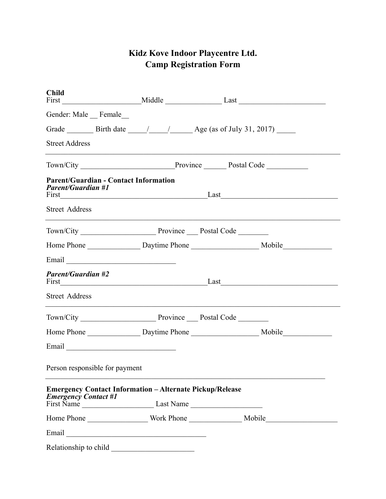## **Kidz Kove Indoor Playcentre Ltd. Camp Registration Form**

| <b>Child</b>                                                                                   |                                                                                                                        |
|------------------------------------------------------------------------------------------------|------------------------------------------------------------------------------------------------------------------------|
| Gender: Male __ Female                                                                         |                                                                                                                        |
|                                                                                                |                                                                                                                        |
| <b>Street Address</b>                                                                          |                                                                                                                        |
|                                                                                                | Town/City Province Postal Code                                                                                         |
| <b>Parent/Guardian - Contact Information</b><br><b>Parent/Guardian #1</b>                      |                                                                                                                        |
| <b>Street Address</b>                                                                          | <u> 1980 - John Stoff, deutscher Stoff, der Stoff, der Stoff, der Stoff, der Stoff, der Stoff, der Stoff, der Stof</u> |
|                                                                                                |                                                                                                                        |
|                                                                                                |                                                                                                                        |
|                                                                                                |                                                                                                                        |
| <b>Parent/Guardian #2</b>                                                                      |                                                                                                                        |
| <b>Street Address</b>                                                                          |                                                                                                                        |
|                                                                                                |                                                                                                                        |
|                                                                                                | Home Phone _____________________ Daytime Phone ___________________________ Mobile___________________                   |
| Email                                                                                          |                                                                                                                        |
| Person responsible for payment                                                                 |                                                                                                                        |
| <b>Emergency Contact Information - Alternate Pickup/Release</b><br><b>Emergency Contact #1</b> |                                                                                                                        |
|                                                                                                |                                                                                                                        |
|                                                                                                |                                                                                                                        |
|                                                                                                |                                                                                                                        |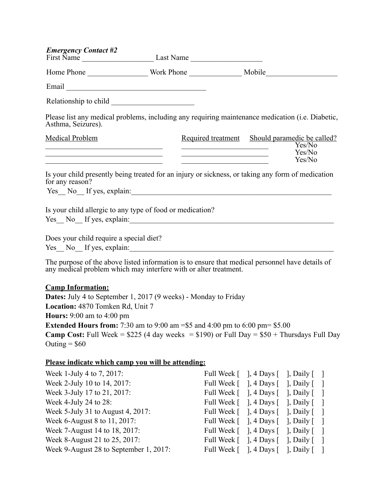| <b>Emergency Contact #2</b>                                                                                                                                                                  |                                                                                                                                                                                               |
|----------------------------------------------------------------------------------------------------------------------------------------------------------------------------------------------|-----------------------------------------------------------------------------------------------------------------------------------------------------------------------------------------------|
|                                                                                                                                                                                              |                                                                                                                                                                                               |
|                                                                                                                                                                                              |                                                                                                                                                                                               |
|                                                                                                                                                                                              |                                                                                                                                                                                               |
| Asthma, Seizures).                                                                                                                                                                           | Please list any medical problems, including any requiring maintenance medication (i.e. Diabetic,                                                                                              |
| <b>Medical Problem</b>                                                                                                                                                                       | Required treatment Should paramedic be called?<br>Yes/No<br>Yes/No<br>Yes/No                                                                                                                  |
| for any reason?                                                                                                                                                                              | Is your child presently being treated for an injury or sickness, or taking any form of medication                                                                                             |
|                                                                                                                                                                                              |                                                                                                                                                                                               |
| Is your child allergic to any type of food or medication?<br>Does your child require a special diet?                                                                                         |                                                                                                                                                                                               |
|                                                                                                                                                                                              | The purpose of the above listed information is to ensure that medical personnel have details of any medical problem which may interfere with or alter treatment.                              |
| <b>Camp Information:</b><br><b>Dates:</b> July 4 to September 1, 2017 (9 weeks) - Monday to Friday<br>Location: 4870 Tomken Rd, Unit 7<br><b>Hours:</b> 9:00 am to 4:00 pm<br>Outing = $$60$ | <b>Extended Hours from:</b> 7:30 am to 9:00 am = \$5 and 4:00 pm to 6:00 pm = \$5.00<br><b>Camp Cost:</b> Full Week = $$225$ (4 day weeks = $$190$ ) or Full Day = $$50 + Thursdays$ Full Day |
| Please indicate which camp you will be attending:                                                                                                                                            |                                                                                                                                                                                               |
| Week 1-July 4 to 7, 2017:                                                                                                                                                                    | Full Week $\lceil \quad \rceil$ , 4 Days $\lceil \quad \rceil$ , Daily $\lceil \quad \rceil$                                                                                                  |
| Week 2-July 10 to 14, 2017:                                                                                                                                                                  | Full Week $\lceil \quad \rceil$ , 4 Days $\lceil \quad \rceil$ , Daily $\lceil \quad \rceil$                                                                                                  |
| Week 3-July 17 to 21, 2017:                                                                                                                                                                  | Full Week [ ], 4 Days [ ], Daily [ ]                                                                                                                                                          |
| Week 4-July 24 to $28$ :                                                                                                                                                                     | Full Week $\lceil \quad \rceil$ , 4 Days $\lceil \quad \rceil$ , Daily $\lceil \quad \rceil$                                                                                                  |

Week 5-July 31 to August 4, 2017: Full Week [ ], 4 Days [ ], Daily [ ] Week 6-August 8 to 11, 2017: Full Week [ ], 4 Days [ ], Daily [ ] Week 7-August 14 to 18, 2017: Full Week [ ], 4 Days [ ], Daily [ ]

Week 8-August 21 to 25, 2017: Full Week [ ], 4 Days [ ], Daily [ ] Week 9-August 28 to September 1, 2017: Full Week [ ], 4 Days [ ], Daily [ ]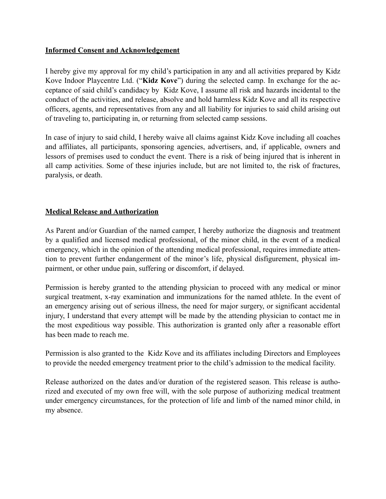## **Informed Consent and Acknowledgement**

I hereby give my approval for my child's participation in any and all activities prepared by Kidz Kove Indoor Playcentre Ltd. ("**Kidz Kove**") during the selected camp. In exchange for the acceptance of said child's candidacy by Kidz Kove, I assume all risk and hazards incidental to the conduct of the activities, and release, absolve and hold harmless Kidz Kove and all its respective officers, agents, and representatives from any and all liability for injuries to said child arising out of traveling to, participating in, or returning from selected camp sessions.

In case of injury to said child, I hereby waive all claims against Kidz Kove including all coaches and affiliates, all participants, sponsoring agencies, advertisers, and, if applicable, owners and lessors of premises used to conduct the event. There is a risk of being injured that is inherent in all camp activities. Some of these injuries include, but are not limited to, the risk of fractures, paralysis, or death.

## **Medical Release and Authorization**

As Parent and/or Guardian of the named camper, I hereby authorize the diagnosis and treatment by a qualified and licensed medical professional, of the minor child, in the event of a medical emergency, which in the opinion of the attending medical professional, requires immediate attention to prevent further endangerment of the minor's life, physical disfigurement, physical impairment, or other undue pain, suffering or discomfort, if delayed.

Permission is hereby granted to the attending physician to proceed with any medical or minor surgical treatment, x-ray examination and immunizations for the named athlete. In the event of an emergency arising out of serious illness, the need for major surgery, or significant accidental injury, I understand that every attempt will be made by the attending physician to contact me in the most expeditious way possible. This authorization is granted only after a reasonable effort has been made to reach me.

Permission is also granted to the Kidz Kove and its affiliates including Directors and Employees to provide the needed emergency treatment prior to the child's admission to the medical facility.

Release authorized on the dates and/or duration of the registered season. This release is authorized and executed of my own free will, with the sole purpose of authorizing medical treatment under emergency circumstances, for the protection of life and limb of the named minor child, in my absence.